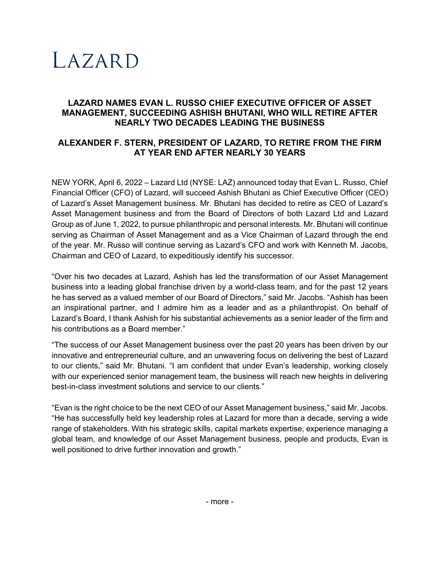# LAZARD

## **LAZARD NAMES EVAN L. RUSSO CHIEF EXECUTIVE OFFICER OF ASSET MANAGEMENT, SUCCEEDING ASHISH BHUTANI, WHO WILL RETIRE AFTER NEARLY TWO DECADES LEADING THE BUSINESS**

# **ALEXANDER F. STERN, PRESIDENT OF LAZARD, TO RETIRE FROM THE FIRM AT YEAR END AFTER NEARLY 30 YEARS**

NEW YORK, April 6, 2022 – Lazard Ltd (NYSE: LAZ) announced today that Evan L. Russo, Chief Financial Officer (CFO) of Lazard, will succeed Ashish Bhutani as Chief Executive Officer (CEO) of Lazard's Asset Management business. Mr. Bhutani has decided to retire as CEO of Lazard's Asset Management business and from the Board of Directors of both Lazard Ltd and Lazard Group as of June 1, 2022, to pursue philanthropic and personal interests. Mr. Bhutani will continue serving as Chairman of Asset Management and as a Vice Chairman of Lazard through the end of the year. Mr. Russo will continue serving as Lazard's CFO and work with Kenneth M. Jacobs, Chairman and CEO of Lazard, to expeditiously identify his successor.

"Over his two decades at Lazard, Ashish has led the transformation of our Asset Management business into a leading global franchise driven by a world-class team, and for the past 12 years he has served as a valued member of our Board of Directors," said Mr. Jacobs. "Ashish has been an inspirational partner, and I admire him as a leader and as a philanthropist. On behalf of Lazard's Board, I thank Ashish for his substantial achievements as a senior leader of the firm and his contributions as a Board member."

"The success of our Asset Management business over the past 20 years has been driven by our innovative and entrepreneurial culture, and an unwavering focus on delivering the best of Lazard to our clients," said Mr. Bhutani. "I am confident that under Evan's leadership, working closely with our experienced senior management team, the business will reach new heights in delivering best-in-class investment solutions and service to our clients."

"Evan is the right choice to be the next CEO of our Asset Management business," said Mr. Jacobs. "He has successfully held key leadership roles at Lazard for more than a decade, serving a wide range of stakeholders. With his strategic skills, capital markets expertise, experience managing a global team, and knowledge of our Asset Management business, people and products, Evan is well positioned to drive further innovation and growth."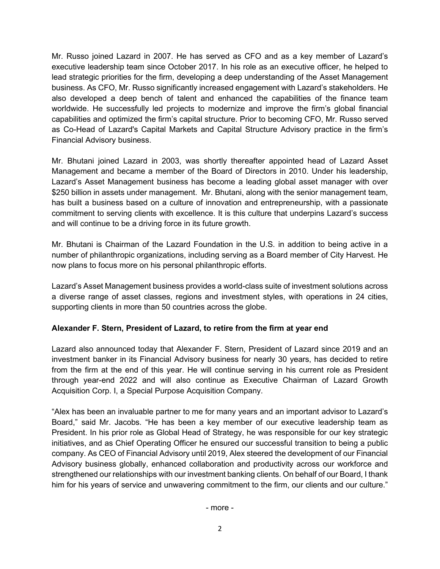Mr. Russo joined Lazard in 2007. He has served as CFO and as a key member of Lazard's executive leadership team since October 2017. In his role as an executive officer, he helped to lead strategic priorities for the firm, developing a deep understanding of the Asset Management business. As CFO, Mr. Russo significantly increased engagement with Lazard's stakeholders. He also developed a deep bench of talent and enhanced the capabilities of the finance team worldwide. He successfully led projects to modernize and improve the firm's global financial capabilities and optimized the firm's capital structure. Prior to becoming CFO, Mr. Russo served as Co-Head of Lazard's Capital Markets and Capital Structure Advisory practice in the firm's Financial Advisory business.

Mr. Bhutani joined Lazard in 2003, was shortly thereafter appointed head of Lazard Asset Management and became a member of the Board of Directors in 2010. Under his leadership, Lazard's Asset Management business has become a leading global asset manager with over \$250 billion in assets under management. Mr. Bhutani, along with the senior management team, has built a business based on a culture of innovation and entrepreneurship, with a passionate commitment to serving clients with excellence. It is this culture that underpins Lazard's success and will continue to be a driving force in its future growth.

Mr. Bhutani is Chairman of the Lazard Foundation in the U.S. in addition to being active in a number of philanthropic organizations, including serving as a Board member of City Harvest. He now plans to focus more on his personal philanthropic efforts.

Lazard's Asset Management business provides a world-class suite of investment solutions across a diverse range of asset classes, regions and investment styles, with operations in 24 cities, supporting clients in more than 50 countries across the globe.

### **Alexander F. Stern, President of Lazard, to retire from the firm at year end**

Lazard also announced today that Alexander F. Stern, President of Lazard since 2019 and an investment banker in its Financial Advisory business for nearly 30 years, has decided to retire from the firm at the end of this year. He will continue serving in his current role as President through year-end 2022 and will also continue as Executive Chairman of Lazard Growth Acquisition Corp. I, a Special Purpose Acquisition Company.

"Alex has been an invaluable partner to me for many years and an important advisor to Lazard's Board," said Mr. Jacobs. "He has been a key member of our executive leadership team as President. In his prior role as Global Head of Strategy, he was responsible for our key strategic initiatives, and as Chief Operating Officer he ensured our successful transition to being a public company. As CEO of Financial Advisory until 2019, Alex steered the development of our Financial Advisory business globally, enhanced collaboration and productivity across our workforce and strengthened our relationships with our investment banking clients. On behalf of our Board, I thank him for his years of service and unwavering commitment to the firm, our clients and our culture."